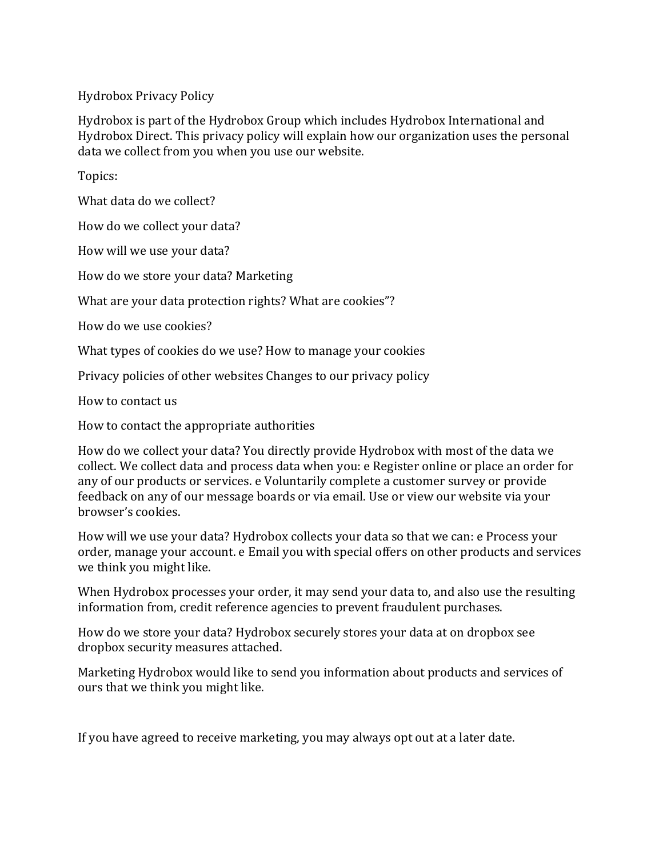Hydrobox Privacy Policy

Hydrobox is part of the Hydrobox Group which includes Hydrobox International and Hydrobox Direct. This privacy policy will explain how our organization uses the personal data we collect from you when you use our website.

Topics:

What data do we collect?

How do we collect your data?

How will we use your data?

How do we store your data? Marketing

What are your data protection rights? What are cookies"?

How do we use cookies?

What types of cookies do we use? How to manage your cookies

Privacy policies of other websites Changes to our privacy policy

How to contact us

How to contact the appropriate authorities

How do we collect your data? You directly provide Hydrobox with most of the data we collect. We collect data and process data when you: e Register online or place an order for any of our products or services. e Voluntarily complete a customer survey or provide feedback on any of our message boards or via email. Use or view our website via your browser's cookies.

How will we use your data? Hydrobox collects your data so that we can: e Process your order, manage your account. e Email you with special offers on other products and services we think you might like.

When Hydrobox processes your order, it may send your data to, and also use the resulting information from, credit reference agencies to prevent fraudulent purchases.

How do we store your data? Hydrobox securely stores your data at on dropbox see dropbox security measures attached.

Marketing Hydrobox would like to send you information about products and services of ours that we think you might like.

If you have agreed to receive marketing, you may always opt out at a later date.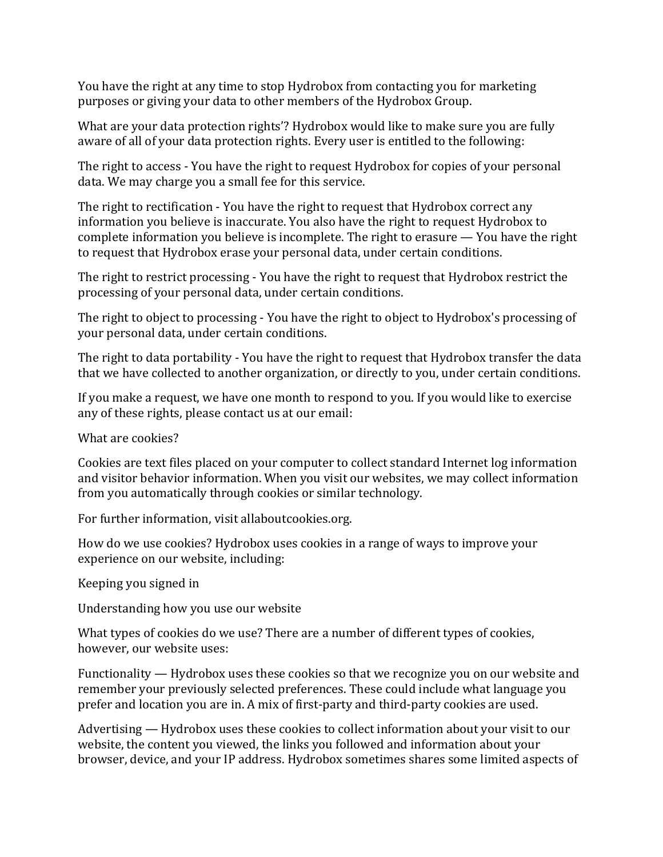You have the right at any time to stop Hydrobox from contacting you for marketing purposes or giving your data to other members of the Hydrobox Group.

What are your data protection rights'? Hydrobox would like to make sure you are fully aware of all of your data protection rights. Every user is entitled to the following:

The right to access - You have the right to request Hydrobox for copies of your personal data. We may charge you a small fee for this service.

The right to rectification - You have the right to request that Hydrobox correct any information you believe is inaccurate. You also have the right to request Hydrobox to complete information you believe is incomplete. The right to erasure  $-$  You have the right to request that Hydrobox erase your personal data, under certain conditions.

The right to restrict processing - You have the right to request that Hydrobox restrict the processing of your personal data, under certain conditions.

The right to object to processing - You have the right to object to Hydrobox's processing of your personal data, under certain conditions.

The right to data portability - You have the right to request that Hydrobox transfer the data that we have collected to another organization, or directly to you, under certain conditions.

If you make a request, we have one month to respond to you. If you would like to exercise any of these rights, please contact us at our email:

What are cookies?

Cookies are text files placed on your computer to collect standard Internet log information and visitor behavior information. When you visit our websites, we may collect information from you automatically through cookies or similar technology.

For further information, visit allaboutcookies.org.

How do we use cookies? Hydrobox uses cookies in a range of ways to improve your experience on our website, including:

Keeping you signed in

Understanding how you use our website

What types of cookies do we use? There are a number of different types of cookies, however, our website uses:

Functionality  $-$  Hydrobox uses these cookies so that we recognize you on our website and remember your previously selected preferences. These could include what language you prefer and location you are in. A mix of first-party and third-party cookies are used.

Advertising  $-$  Hydrobox uses these cookies to collect information about your visit to our website, the content you viewed, the links you followed and information about your browser, device, and your IP address. Hydrobox sometimes shares some limited aspects of